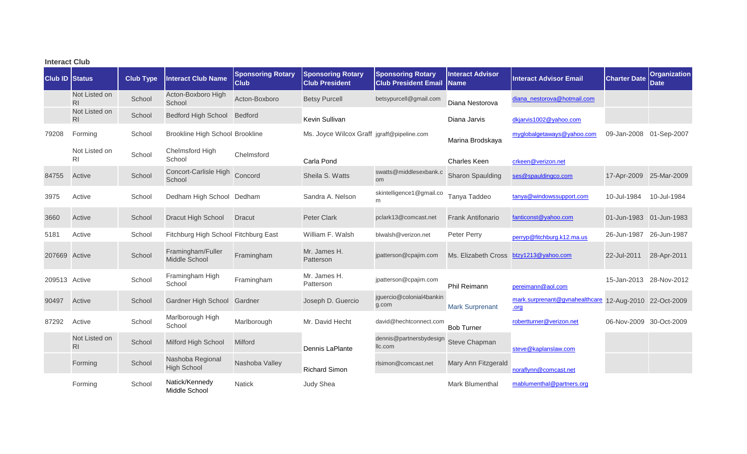| <b>Interact Club</b>  |                                 |                  |                                        |                                         |                                                   |                                                         |                                        |                                        |                         |                                    |  |
|-----------------------|---------------------------------|------------------|----------------------------------------|-----------------------------------------|---------------------------------------------------|---------------------------------------------------------|----------------------------------------|----------------------------------------|-------------------------|------------------------------------|--|
| <b>Club ID Status</b> |                                 | <b>Club Type</b> | <b>Interact Club Name</b>              | <b>Sponsoring Rotary</b><br><b>Club</b> | <b>Sponsoring Rotary</b><br><b>Club President</b> | <b>Sponsoring Rotary</b><br><b>Club President Email</b> | <b>Interact Advisor</b><br><b>Name</b> | <b>Interact Advisor Email</b>          | <b>Charter Date</b>     | <b>Organization</b><br><b>Date</b> |  |
|                       | Not Listed on<br>R <sub>l</sub> | School           | Acton-Boxboro High<br>School           | Acton-Boxboro                           | <b>Betsy Purcell</b>                              | betsypurcell@gmail.com                                  | Diana Nestorova                        | diana_nestorova@hotmail.com            |                         |                                    |  |
|                       | Not Listed on<br>R <sub>l</sub> | School           | <b>Bedford High School</b>             | Bedford                                 | Kevin Sullivan                                    |                                                         | Diana Jarvis                           | dkjarvis1002@yahoo.com                 |                         |                                    |  |
| 79208                 | Forming                         | School           | <b>Brookline High School Brookline</b> |                                         | Ms. Joyce Wilcox Graff jgraff@pipeline.com        |                                                         | Marina Brodskaya                       | myglobalgetaways@yahoo.com             | 09-Jan-2008             | 01-Sep-2007                        |  |
|                       | Not Listed on<br><b>RI</b>      | School           | Chelmsford High<br>School              | Chelmsford                              | Carla Pond                                        |                                                         | <b>Charles Keen</b>                    | crkeen@verizon.net                     |                         |                                    |  |
| 84755                 | Active                          | School           | Concort-Carlisle High<br>School        | Concord                                 | Sheila S. Watts                                   | swatts@middlesexbank.c<br><b>om</b>                     | <b>Sharon Spaulding</b>                | ses@spauldingco.com                    | 17-Apr-2009 25-Mar-2009 |                                    |  |
| 3975                  | Active                          | School           | Dedham High School Dedham              |                                         | Sandra A. Nelson                                  | skintelligence1@gmail.co<br>m                           | Tanya Taddeo                           | tanya@windowssupport.com               | 10-Jul-1984             | 10-Jul-1984                        |  |
| 3660                  | Active                          | School           | Dracut High School                     | <b>Dracut</b>                           | <b>Peter Clark</b>                                | pclark13@comcast.net                                    | <b>Frank Antifonario</b>               | fanticonst@yahoo.com                   | 01-Jun-1983 01-Jun-1983 |                                    |  |
| 5181                  | Active                          | School           | Fitchburg High School Fitchburg East   |                                         | William F. Walsh                                  | blwalsh@verizon.net                                     | Peter Perry                            | perryp@fitchburg.k12.ma.us             | 26-Jun-1987             | 26-Jun-1987                        |  |
| 207669                | Active                          | School           | Framingham/Fuller<br>Middle School     | Framingham                              | Mr. James H.<br>Patterson                         | jpatterson@cpajim.com                                   | Ms. Elizabeth Cross                    | btzy1213@yahoo.com                     | 22-Jul-2011             | 28-Apr-2011                        |  |
| 209513 Active         |                                 | School           | Framingham High<br>School              | Framingham                              | Mr. James H.<br>Patterson                         | jpatterson@cpajim.com                                   | Phil Reimann                           | pereimann@aol.com                      | 15-Jan-2013 28-Nov-2012 |                                    |  |
| 90497                 | Active                          | School           | Gardner High School                    | Gardner                                 | Joseph D. Guercio                                 | jguercio@colonial4bankin<br>g.com                       | <b>Mark Surprenant</b>                 | mark.surprenant@gvnahealthcare<br>.org | 12-Aug-2010 22-Oct-2009 |                                    |  |
| 87292                 | Active                          | School           | Marlborough High<br>School             | Marlborough                             | Mr. David Hecht                                   | david@hechtconnect.com                                  | <b>Bob Turner</b>                      | robertturner@verizon.net               | 06-Nov-2009 30-Oct-2009 |                                    |  |
|                       | Not Listed on<br>R <sub>l</sub> | School           | Milford High School                    | <b>Milford</b>                          | Dennis LaPlante                                   | dennis@partnersbydesign<br>llc.com                      | Steve Chapman                          | steve@kaplanslaw.com                   |                         |                                    |  |
|                       | Forming                         | School           | Nashoba Regional<br><b>High School</b> | Nashoba Valley                          | <b>Richard Simon</b>                              | rlsimon@comcast.net                                     | Mary Ann Fitzgerald                    | noraflynn@comcast.net                  |                         |                                    |  |
|                       | Forming                         | School           | Natick/Kennedy<br>Middle School        | <b>Natick</b>                           | Judy Shea                                         |                                                         | Mark Blumenthal                        | mablumenthal@partners.org              |                         |                                    |  |